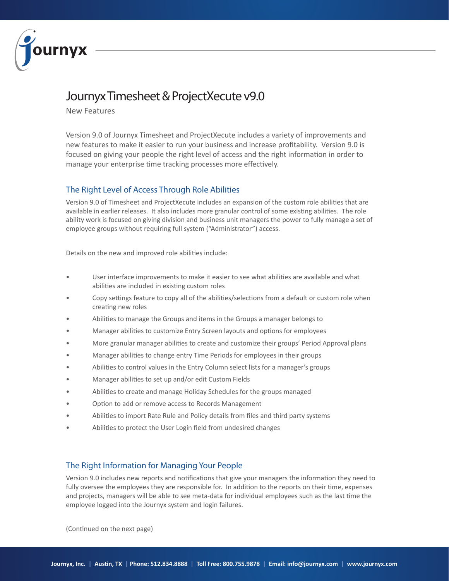

## Journyx Timesheet & ProjectXecute v9.0

New Features

Version 9.0 of Journyx Timesheet and ProjectXecute includes a variety of improvements and new features to make it easier to run your business and increase profitability. Version 9.0 is focused on giving your people the right level of access and the right information in order to manage your enterprise time tracking processes more effectively.

## The Right Level of Access Through Role Abilities

Version 9.0 of Timesheet and ProjectXecute includes an expansion of the custom role abilities that are available in earlier releases. It also includes more granular control of some existing abilities. The role ability work is focused on giving division and business unit managers the power to fully manage a set of employee groups without requiring full system ("Administrator") access.

Details on the new and improved role abilities include:

- User interface improvements to make it easier to see what abilities are available and what abilities are included in existing custom roles
- Copy settings feature to copy all of the abilities/selections from a default or custom role when creating new roles
- Abilities to manage the Groups and items in the Groups a manager belongs to
- Manager abilities to customize Entry Screen layouts and options for employees
- More granular manager abilities to create and customize their groups' Period Approval plans
- Manager abilities to change entry Time Periods for employees in their groups
- Abilities to control values in the Entry Column select lists for a manager's groups
- Manager abilities to set up and/or edit Custom Fields
- Abilities to create and manage Holiday Schedules for the groups managed
- Option to add or remove access to Records Management
- Abilities to import Rate Rule and Policy details from files and third party systems
- Abilities to protect the User Login field from undesired changes

## The Right Information for Managing Your People

Version 9.0 includes new reports and notifications that give your managers the information they need to fully oversee the employees they are responsible for. In addition to the reports on their time, expenses and projects, managers will be able to see meta-data for individual employees such as the last time the employee logged into the Journyx system and login failures.

(Continued on the next page)